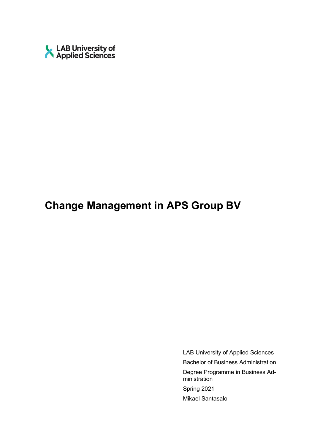

# **Change Management in APS Group BV**

LAB University of Applied Sciences Bachelor of Business Administration Degree Programme in Business Administration Spring 2021 Mikael Santasalo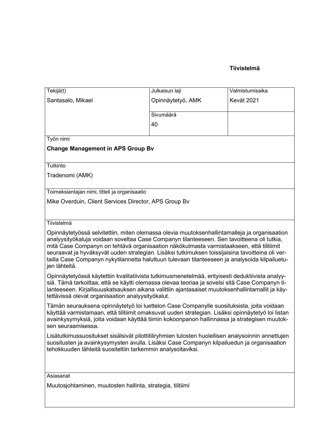# **Tiivistelmä**

| Tekijä(t)                                                                                                                                                                                                                                                                                                                                                                                                                                                                                                      | Julkaisun laji    | Valmistumisaika |  |
|----------------------------------------------------------------------------------------------------------------------------------------------------------------------------------------------------------------------------------------------------------------------------------------------------------------------------------------------------------------------------------------------------------------------------------------------------------------------------------------------------------------|-------------------|-----------------|--|
| Santasalo, Mikael                                                                                                                                                                                                                                                                                                                                                                                                                                                                                              | Opinnäytetyö, AMK | Kevät 2021      |  |
|                                                                                                                                                                                                                                                                                                                                                                                                                                                                                                                | Sivumäärä         |                 |  |
|                                                                                                                                                                                                                                                                                                                                                                                                                                                                                                                | 40                |                 |  |
|                                                                                                                                                                                                                                                                                                                                                                                                                                                                                                                |                   |                 |  |
| Työn nimi                                                                                                                                                                                                                                                                                                                                                                                                                                                                                                      |                   |                 |  |
| <b>Change Management in APS Group Bv</b>                                                                                                                                                                                                                                                                                                                                                                                                                                                                       |                   |                 |  |
| Tutkinto                                                                                                                                                                                                                                                                                                                                                                                                                                                                                                       |                   |                 |  |
| Tradenomi (AMK)                                                                                                                                                                                                                                                                                                                                                                                                                                                                                                |                   |                 |  |
| Toimeksiantajan nimi, titteli ja organisaatio                                                                                                                                                                                                                                                                                                                                                                                                                                                                  |                   |                 |  |
| Mike Overduin, Client Services Director, APS Group By                                                                                                                                                                                                                                                                                                                                                                                                                                                          |                   |                 |  |
|                                                                                                                                                                                                                                                                                                                                                                                                                                                                                                                |                   |                 |  |
| Tiivistelmä                                                                                                                                                                                                                                                                                                                                                                                                                                                                                                    |                   |                 |  |
| Opinnäytetyössä selvitettiin, miten olemassa olevia muutoksenhallintamalleja ja organisaation<br>analyysityökaluja voidaan soveltaa Case Companyn tilanteeseen. Sen tavoitteena oli tutkia,<br>mitä Case Companyn on tehtävä organisaation näkökulmasta varmistaakseen, että tilitiimit<br>seuraavat ja hyväksyvät uuden strategian. Lisäksi tutkimuksen toissijaisina tavoitteina oli ver-<br>tailla Case Companyn nykytilannetta haluttuun tulevaan tilanteeseen ja analysoida kilpailuetu-<br>jen lähteitä. |                   |                 |  |
| Opinnäytetyössä käytettiin kvalitatiivista tutkimusmenetelmää, erityisesti deduktiivista analyy-<br>siä. Tämä tarkoittaa, että se käytti olemassa olevaa teoriaa ja sovelsi sitä Case Companyn ti-<br>lanteeseen. Kirjallisuuskatsauksen aikana valittiin ajantasaiset muutoksenhallintamallit ja käy-<br>tettävissä olevat organisaation analyysityökalut.                                                                                                                                                    |                   |                 |  |
| Tämän seurauksena opinnäytetyö loi luettelon Case Companylle suosituksista, joita voidaan<br>käyttää varmistamaan, että tilitiimit omaksuvat uuden strategian. Lisäksi opinnäytetyö loi listan<br>avainkysymyksiä, joita voidaan käyttää tiimin kokoonpanon hallinnassa ja strategisen muutok-<br>sen seuraamisessa.                                                                                                                                                                                           |                   |                 |  |
| Lisätutkimussuositukset sisälsivät pilottitiliryhmien tulosten huolellisen analysoinnin annettujen<br>suositusten ja avainkysymysten avulla. Lisäksi Case Companyn kilpailuedun ja organisaation<br>tehokkuuden lähteitä suositeltiin tarkemmin analysoitaviksi.                                                                                                                                                                                                                                               |                   |                 |  |
|                                                                                                                                                                                                                                                                                                                                                                                                                                                                                                                |                   |                 |  |
| Asiasanat                                                                                                                                                                                                                                                                                                                                                                                                                                                                                                      |                   |                 |  |
| Muutosjohtaminen, muutosten hallinta, strategia, tilitiimi                                                                                                                                                                                                                                                                                                                                                                                                                                                     |                   |                 |  |
|                                                                                                                                                                                                                                                                                                                                                                                                                                                                                                                |                   |                 |  |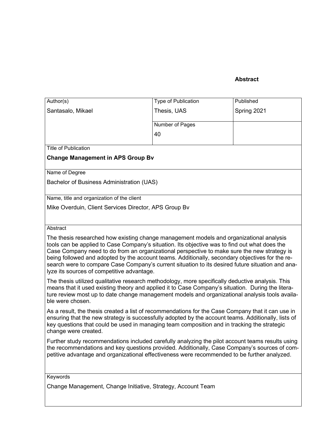# **Abstract**

| $\overline{Author(s)}$                                                                                                                                                                                                                                                                                                                                                                                                                                                                         | Type of Publication | Published   |  |
|------------------------------------------------------------------------------------------------------------------------------------------------------------------------------------------------------------------------------------------------------------------------------------------------------------------------------------------------------------------------------------------------------------------------------------------------------------------------------------------------|---------------------|-------------|--|
| Santasalo, Mikael                                                                                                                                                                                                                                                                                                                                                                                                                                                                              | Thesis, UAS         | Spring 2021 |  |
|                                                                                                                                                                                                                                                                                                                                                                                                                                                                                                | Number of Pages     |             |  |
|                                                                                                                                                                                                                                                                                                                                                                                                                                                                                                | 40                  |             |  |
| <b>Title of Publication</b>                                                                                                                                                                                                                                                                                                                                                                                                                                                                    |                     |             |  |
| <b>Change Management in APS Group Bv</b>                                                                                                                                                                                                                                                                                                                                                                                                                                                       |                     |             |  |
|                                                                                                                                                                                                                                                                                                                                                                                                                                                                                                |                     |             |  |
| Name of Degree                                                                                                                                                                                                                                                                                                                                                                                                                                                                                 |                     |             |  |
| Bachelor of Business Administration (UAS)                                                                                                                                                                                                                                                                                                                                                                                                                                                      |                     |             |  |
| Name, title and organization of the client                                                                                                                                                                                                                                                                                                                                                                                                                                                     |                     |             |  |
| Mike Overduin, Client Services Director, APS Group By                                                                                                                                                                                                                                                                                                                                                                                                                                          |                     |             |  |
|                                                                                                                                                                                                                                                                                                                                                                                                                                                                                                |                     |             |  |
| Abstract                                                                                                                                                                                                                                                                                                                                                                                                                                                                                       |                     |             |  |
| The thesis researched how existing change management models and organizational analysis<br>tools can be applied to Case Company's situation. Its objective was to find out what does the<br>Case Company need to do from an organizational perspective to make sure the new strategy is<br>being followed and adopted by the account teams. Additionally, secondary objectives for the re-<br>search were to compare Case Company's current situation to its desired future situation and ana- |                     |             |  |
| lyze its sources of competitive advantage.                                                                                                                                                                                                                                                                                                                                                                                                                                                     |                     |             |  |
| The thesis utilized qualitative research methodology, more specifically deductive analysis. This<br>means that it used existing theory and applied it to Case Company's situation. During the litera-<br>ture review most up to date change management models and organizational analysis tools availa-<br>ble were chosen.                                                                                                                                                                    |                     |             |  |
| As a result, the thesis created a list of recommendations for the Case Company that it can use in<br>ensuring that the new strategy is successfully adopted by the account teams. Additionally, lists of<br>key questions that could be used in managing team composition and in tracking the strategic<br>change were created.                                                                                                                                                                |                     |             |  |
| Further study recommendations included carefully analyzing the pilot account teams results using<br>the recommendations and key questions provided. Additionally, Case Company's sources of com-<br>petitive advantage and organizational effectiveness were recommended to be further analyzed.                                                                                                                                                                                               |                     |             |  |
| Keywords                                                                                                                                                                                                                                                                                                                                                                                                                                                                                       |                     |             |  |
|                                                                                                                                                                                                                                                                                                                                                                                                                                                                                                |                     |             |  |

Change Management, Change Initiative, Strategy, Account Team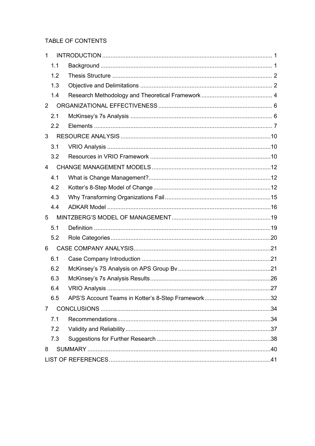# TABLE OF CONTENTS

| 1              |  |
|----------------|--|
| 1.1            |  |
| 1.2            |  |
| 1.3            |  |
| 1.4            |  |
| $\overline{2}$ |  |
| 2.1            |  |
| 2.2            |  |
| 3              |  |
| 3.1            |  |
| 3.2            |  |
| 4              |  |
| 4.1            |  |
| 4.2            |  |
| 4.3            |  |
| 4.4            |  |
| 5              |  |
| 5.1            |  |
| 5.2            |  |
| 6              |  |
| 6.1            |  |
| 6.2            |  |
| 6.3            |  |
| 6.4            |  |
| 6.5            |  |
| 7              |  |
| 7.1            |  |
| 7.2            |  |
| 7.3            |  |
| 8              |  |
|                |  |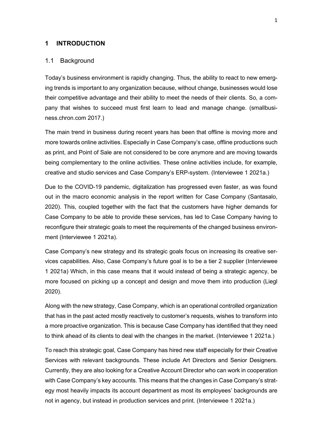### <span id="page-4-0"></span>**1 INTRODUCTION**

#### <span id="page-4-1"></span>1.1 Background

Today's business environment is rapidly changing. Thus, the ability to react to new emerging trends is important to any organization because, without change, businesses would lose their competitive advantage and their ability to meet the needs of their clients. So, a company that wishes to succeed must first learn to lead and manage change. (smallbusiness.chron.com 2017.)

The main trend in business during recent years has been that offline is moving more and more towards online activities. Especially in Case Company's case, offline productions such as print, and Point of Sale are not considered to be core anymore and are moving towards being complementary to the online activities. These online activities include, for example, creative and studio services and Case Company's ERP-system. (Interviewee 1 2021a.)

Due to the COVID-19 pandemic, digitalization has progressed even faster, as was found out in the macro economic analysis in the report written for Case Company (Santasalo, 2020). This, coupled together with the fact that the customers have higher demands for Case Company to be able to provide these services, has led to Case Company having to reconfigure their strategic goals to meet the requirements of the changed business environment (Interviewee 1 2021a).

Case Company's new strategy and its strategic goals focus on increasing its creative services capabilities. Also, Case Company's future goal is to be a tier 2 supplier (Interviewee 1 2021a) Which, in this case means that it would instead of being a strategic agency, be more focused on picking up a concept and design and move them into production (Liegl 2020).

Along with the new strategy, Case Company, which is an operational controlled organization that has in the past acted mostly reactively to customer's requests, wishes to transform into a more proactive organization. This is because Case Company has identified that they need to think ahead of its clients to deal with the changes in the market. (Interviewee 1 2021a.)

To reach this strategic goal, Case Company has hired new staff especially for their Creative Services with relevant backgrounds. These include Art Directors and Senior Designers. Currently, they are also looking for a Creative Account Director who can work in cooperation with Case Company's key accounts. This means that the changes in Case Company's strategy most heavily impacts its account department as most its employees' backgrounds are not in agency, but instead in production services and print. (Interviewee 1 2021a.)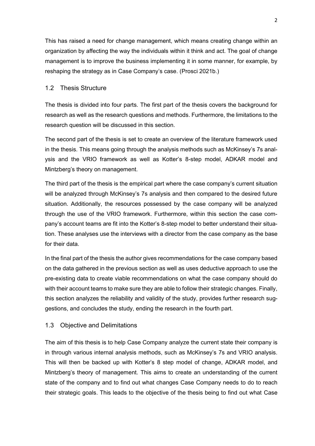This has raised a need for change management, which means creating change within an organization by affecting the way the individuals within it think and act. The goal of change management is to improve the business implementing it in some manner, for example, by reshaping the strategy as in Case Company's case. (Prosci 2021b.)

# <span id="page-5-0"></span>1.2 Thesis Structure

The thesis is divided into four parts. The first part of the thesis covers the background for research as well as the research questions and methods. Furthermore, the limitations to the research question will be discussed in this section.

The second part of the thesis is set to create an overview of the literature framework used in the thesis. This means going through the analysis methods such as McKinsey's 7s analysis and the VRIO framework as well as Kotter's 8-step model, ADKAR model and Mintzberg's theory on management.

The third part of the thesis is the empirical part where the case company's current situation will be analyzed through McKinsey's 7s analysis and then compared to the desired future situation. Additionally, the resources possessed by the case company will be analyzed through the use of the VRIO framework. Furthermore, within this section the case company's account teams are fit into the Kotter's 8-step model to better understand their situation. These analyses use the interviews with a director from the case company as the base for their data.

In the final part of the thesis the author gives recommendations for the case company based on the data gathered in the previous section as well as uses deductive approach to use the pre-existing data to create viable recommendations on what the case company should do with their account teams to make sure they are able to follow their strategic changes. Finally, this section analyzes the reliability and validity of the study, provides further research suggestions, and concludes the study, ending the research in the fourth part.

# <span id="page-5-1"></span>1.3 Objective and Delimitations

The aim of this thesis is to help Case Company analyze the current state their company is in through various internal analysis methods, such as McKinsey's 7s and VRIO analysis. This will then be backed up with Kotter's 8 step model of change, ADKAR model, and Mintzberg's theory of management. This aims to create an understanding of the current state of the company and to find out what changes Case Company needs to do to reach their strategic goals. This leads to the objective of the thesis being to find out what Case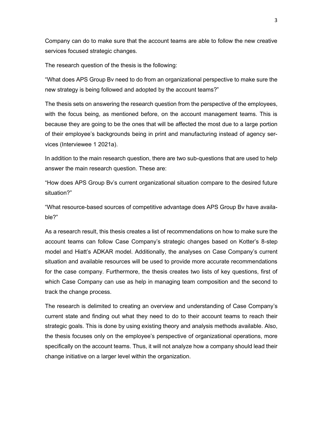Company can do to make sure that the account teams are able to follow the new creative services focused strategic changes.

The research question of the thesis is the following:

"What does APS Group Bv need to do from an organizational perspective to make sure the new strategy is being followed and adopted by the account teams?"

The thesis sets on answering the research question from the perspective of the employees, with the focus being, as mentioned before, on the account management teams. This is because they are going to be the ones that will be affected the most due to a large portion of their employee's backgrounds being in print and manufacturing instead of agency services (Interviewee 1 2021a).

In addition to the main research question, there are two sub-questions that are used to help answer the main research question. These are:

"How does APS Group Bv's current organizational situation compare to the desired future situation?"

"What resource-based sources of competitive advantage does APS Group Bv have available?"

As a research result, this thesis creates a list of recommendations on how to make sure the account teams can follow Case Company's strategic changes based on Kotter's 8-step model and Hiatt's ADKAR model. Additionally, the analyses on Case Company's current situation and available resources will be used to provide more accurate recommendations for the case company. Furthermore, the thesis creates two lists of key questions, first of which Case Company can use as help in managing team composition and the second to track the change process.

The research is delimited to creating an overview and understanding of Case Company's current state and finding out what they need to do to their account teams to reach their strategic goals. This is done by using existing theory and analysis methods available. Also, the thesis focuses only on the employee's perspective of organizational operations, more specifically on the account teams. Thus, it will not analyze how a company should lead their change initiative on a larger level within the organization.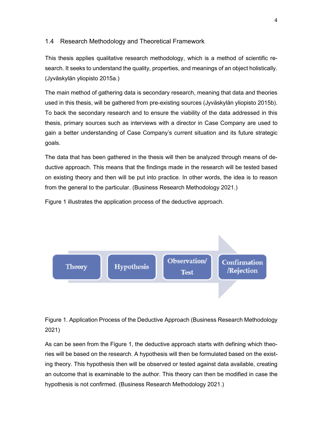## <span id="page-7-0"></span>1.4 Research Methodology and Theoretical Framework

This thesis applies qualitative research methodology, which is a method of scientific research. It seeks to understand the quality, properties, and meanings of an object holistically. (Jyväskylän yliopisto 2015a.)

The main method of gathering data is secondary research, meaning that data and theories used in this thesis, will be gathered from pre-existing sources (Jyväskylän yliopisto 2015b). To back the secondary research and to ensure the viability of the data addressed in this thesis, primary sources such as interviews with a director in Case Company are used to gain a better understanding of Case Company's current situation and its future strategic goals.

The data that has been gathered in the thesis will then be analyzed through means of deductive approach. This means that the findings made in the research will be tested based on existing theory and then will be put into practice. In other words, the idea is to reason from the general to the particular. (Business Research Methodology 2021.)

Figure 1 illustrates the application process of the deductive approach.



# Figure 1. Application Process of the Deductive Approach (Business Research Methodology 2021)

As can be seen from the Figure 1, the deductive approach starts with defining which theories will be based on the research. A hypothesis will then be formulated based on the existing theory. This hypothesis then will be observed or tested against data available, creating an outcome that is examinable to the author. This theory can then be modified in case the hypothesis is not confirmed. (Business Research Methodology 2021.)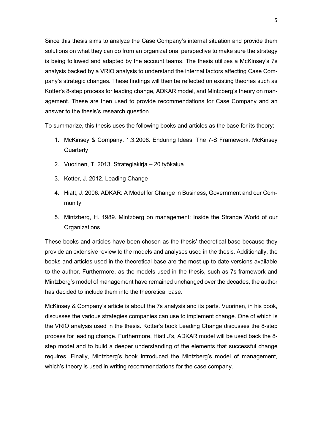Since this thesis aims to analyze the Case Company's internal situation and provide them solutions on what they can do from an organizational perspective to make sure the strategy is being followed and adapted by the account teams. The thesis utilizes a McKinsey's 7s analysis backed by a VRIO analysis to understand the internal factors affecting Case Company's strategic changes. These findings will then be reflected on existing theories such as Kotter's 8-step process for leading change, ADKAR model, and Mintzberg's theory on management. These are then used to provide recommendations for Case Company and an answer to the thesis's research question.

To summarize, this thesis uses the following books and articles as the base for its theory:

- 1. McKinsey & Company. 1.3.2008. Enduring Ideas: The 7-S Framework. McKinsey **Quarterly**
- 2. Vuorinen, T. 2013. Strategiakirja 20 työkalua
- 3. Kotter, J. 2012. Leading Change
- 4. Hiatt, J. 2006. ADKAR: A Model for Change in Business, Government and our Community
- 5. Mintzberg, H. 1989. Mintzberg on management: Inside the Strange World of our **Organizations**

These books and articles have been chosen as the thesis' theoretical base because they provide an extensive review to the models and analyses used in the thesis. Additionally, the books and articles used in the theoretical base are the most up to date versions available to the author. Furthermore, as the models used in the thesis, such as 7s framework and Mintzberg's model of management have remained unchanged over the decades, the author has decided to include them into the theoretical base.

McKinsey & Company's article is about the 7s analysis and its parts. Vuorinen, in his book, discusses the various strategies companies can use to implement change. One of which is the VRIO analysis used in the thesis. Kotter's book Leading Change discusses the 8-step process for leading change. Furthermore, Hiatt J's, ADKAR model will be used back the 8 step model and to build a deeper understanding of the elements that successful change requires. Finally, Mintzberg's book introduced the Mintzberg's model of management, which's theory is used in writing recommendations for the case company.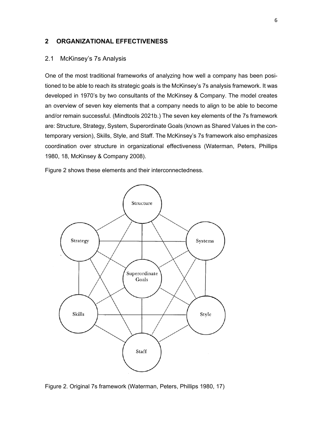## <span id="page-9-0"></span>**2 ORGANIZATIONAL EFFECTIVENESS**

#### <span id="page-9-1"></span>2.1 McKinsey's 7s Analysis

One of the most traditional frameworks of analyzing how well a company has been positioned to be able to reach its strategic goals is the McKinsey's 7s analysis framework. It was developed in 1970's by two consultants of the McKinsey & Company. The model creates an overview of seven key elements that a company needs to align to be able to become and/or remain successful. (Mindtools 2021b.) The seven key elements of the 7s framework are: Structure, Strategy, System, Superordinate Goals (known as Shared Values in the contemporary version), Skills, Style, and Staff. The McKinsey's 7s framework also emphasizes coordination over structure in organizational effectiveness (Waterman, Peters, Phillips 1980, 18, McKinsey & Company 2008).

Figure 2 shows these elements and their interconnectedness.



Figure 2. Original 7s framework (Waterman, Peters, Phillips 1980, 17)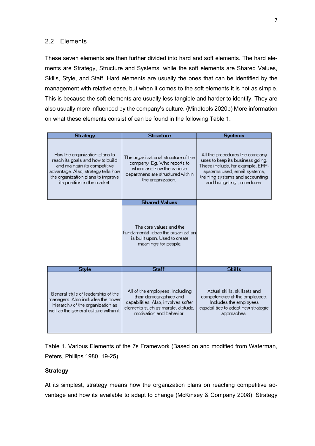# <span id="page-10-0"></span>2.2 Elements

These seven elements are then further divided into hard and soft elements. The hard elements are Strategy, Structure and Systems, while the soft elements are Shared Values, Skills, Style, and Staff. Hard elements are usually the ones that can be identified by the management with relative ease, but when it comes to the soft elements it is not as simple. This is because the soft elements are usually less tangible and harder to identify. They are also usually more influenced by the company's culture. (Mindtools 2020b) More information on what these elements consist of can be found in the following Table 1.

| <b>Strategy</b>                                                                                                                                                                                               | <b>Structure</b>                                                                                                                                                   | <b>Systems</b>                                                                                                                                                                                         |  |
|---------------------------------------------------------------------------------------------------------------------------------------------------------------------------------------------------------------|--------------------------------------------------------------------------------------------------------------------------------------------------------------------|--------------------------------------------------------------------------------------------------------------------------------------------------------------------------------------------------------|--|
| How the organization plans to<br>reach its goals and how to build<br>and maintain its competitive<br>advantage. Also, strategy tells how-<br>the organization plans to improve<br>its position in the market. | The organizational structure of the<br>company. Eg. Who reports to<br>whom and how the various<br>departmens are structured within<br>the organization.            | All the procedures the company<br>uses to keep its business going.<br>These include, for example, ERP-<br>systems used, email systems,<br>training systems and accounting<br>and budgeting procedures. |  |
|                                                                                                                                                                                                               | <b>Shared Values</b>                                                                                                                                               |                                                                                                                                                                                                        |  |
|                                                                                                                                                                                                               | The core values and the<br>fundamental ideas the organization<br>is built upon. Used to create<br>meanings for people.                                             |                                                                                                                                                                                                        |  |
| <b>Style</b>                                                                                                                                                                                                  | <b>Staff</b>                                                                                                                                                       | <b>Skills</b>                                                                                                                                                                                          |  |
| General style of leadership of the<br>managers. Also includes the power<br>hierarchy of the organization as<br>well as the general culture within it.                                                         | All of the employees, including<br>their demographics and<br>capabilities. Also, involves softer<br>elements such as morale, attitude,<br>motivation and behavior. | Actual skills, skillsets and<br>competencies of the employees.<br>Includes the employees<br>capabilities to adopt new strategic<br>approaches.                                                         |  |

Table 1. Various Elements of the 7s Framework (Based on and modified from Waterman, Peters, Phillips 1980, 19-25)

## **Strategy**

At its simplest, strategy means how the organization plans on reaching competitive advantage and how its available to adapt to change (McKinsey & Company 2008). Strategy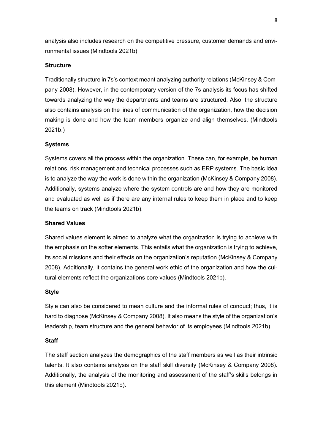analysis also includes research on the competitive pressure, customer demands and environmental issues (Mindtools 2021b).

## **Structure**

Traditionally structure in 7s's context meant analyzing authority relations (McKinsey & Company 2008). However, in the contemporary version of the 7s analysis its focus has shifted towards analyzing the way the departments and teams are structured. Also, the structure also contains analysis on the lines of communication of the organization, how the decision making is done and how the team members organize and align themselves. (Mindtools 2021b.)

## **Systems**

Systems covers all the process within the organization. These can, for example, be human relations, risk management and technical processes such as ERP systems. The basic idea is to analyze the way the work is done within the organization (McKinsey & Company 2008). Additionally, systems analyze where the system controls are and how they are monitored and evaluated as well as if there are any internal rules to keep them in place and to keep the teams on track (Mindtools 2021b).

#### **Shared Values**

Shared values element is aimed to analyze what the organization is trying to achieve with the emphasis on the softer elements. This entails what the organization is trying to achieve, its social missions and their effects on the organization's reputation (McKinsey & Company 2008). Additionally, it contains the general work ethic of the organization and how the cultural elements reflect the organizations core values (Mindtools 2021b).

#### **Style**

Style can also be considered to mean culture and the informal rules of conduct; thus, it is hard to diagnose (McKinsey & Company 2008). It also means the style of the organization's leadership, team structure and the general behavior of its employees (Mindtools 2021b).

#### **Staff**

The staff section analyzes the demographics of the staff members as well as their intrinsic talents. It also contains analysis on the staff skill diversity (McKinsey & Company 2008). Additionally, the analysis of the monitoring and assessment of the staff's skills belongs in this element (Mindtools 2021b).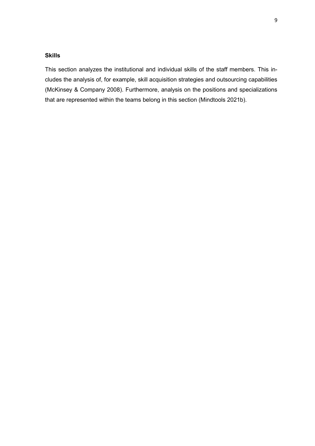# **Skills**

This section analyzes the institutional and individual skills of the staff members. This includes the analysis of, for example, skill acquisition strategies and outsourcing capabilities (McKinsey & Company 2008). Furthermore, analysis on the positions and specializations that are represented within the teams belong in this section (Mindtools 2021b).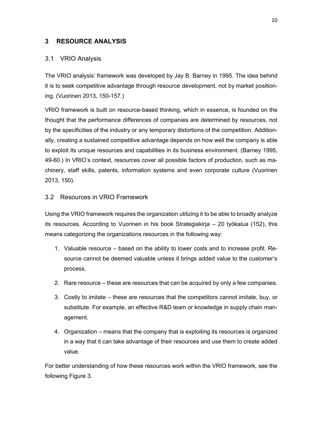# <span id="page-13-0"></span>**3 RESOURCE ANALYSIS**

# <span id="page-13-1"></span>3.1 VRIO Analysis

The VRIO analysis' framework was developed by Jay B. Barney in 1995. The idea behind it is to seek competitive advantage through resource development, not by market positioning. (Vuorinen 2013, 150-157.)

VRIO framework is built on resource-based thinking, which in essence, is founded on the thought that the performance differences of companies are determined by resources, not by the specificities of the industry or any temporary distortions of the competition. Additionally, creating a sustained competitive advantage depends on how well the company is able to exploit its unique resources and capabilities in its business environment. (Barney 1995, 49-60.) In VRIO's context, resources cover all possible factors of production, such as machinery, staff skills, patents, information systems and even corporate culture (Vuorinen 2013, 150).

# <span id="page-13-2"></span>3.2 Resources in VRIO Framework

Using the VRIO framework requires the organization utilizing it to be able to broadly analyze its resources. According to Vuorinen in his book Strategiakirja – 20 työkalua (152), this means categorizing the organizations resources in the following way:

- 1. Valuable resource based on the ability to lower costs and to increase profit. Resource cannot be deemed valuable unless it brings added value to the customer's process.
- 2. Rare resource these are resources that can be acquired by only a few companies.
- 3. Costly to imitate these are resources that the competitors cannot imitate, buy, or substitute. For example, an effective R&D team or knowledge in supply chain management.
- 4. Organization means that the company that is exploiting its resources is organized in a way that it can take advantage of their resources and use them to create added value.

For better understanding of how these resources work within the VRIO framework, see the following Figure 3.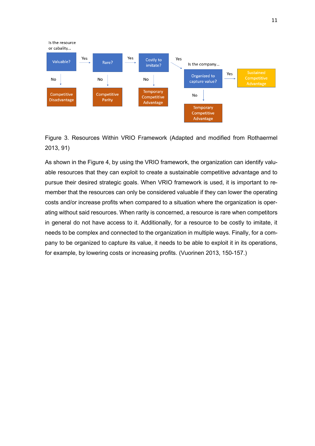



As shown in the Figure 4, by using the VRIO framework, the organization can identify valuable resources that they can exploit to create a sustainable competitive advantage and to pursue their desired strategic goals. When VRIO framework is used, it is important to remember that the resources can only be considered valuable if they can lower the operating costs and/or increase profits when compared to a situation where the organization is operating without said resources. When rarity is concerned, a resource is rare when competitors in general do not have access to it. Additionally, for a resource to be costly to imitate, it needs to be complex and connected to the organization in multiple ways. Finally, for a company to be organized to capture its value, it needs to be able to exploit it in its operations, for example, by lowering costs or increasing profits. (Vuorinen 2013, 150-157.)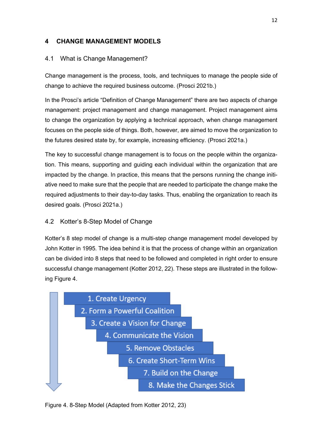# <span id="page-15-0"></span>**4 CHANGE MANAGEMENT MODELS**

# <span id="page-15-1"></span>4.1 What is Change Management?

Change management is the process, tools, and techniques to manage the people side of change to achieve the required business outcome. (Prosci 2021b.)

In the Prosci's article "Definition of Change Management" there are two aspects of change management: project management and change management. Project management aims to change the organization by applying a technical approach, when change management focuses on the people side of things. Both, however, are aimed to move the organization to the futures desired state by, for example, increasing efficiency. (Prosci 2021a.)

The key to successful change management is to focus on the people within the organization. This means, supporting and guiding each individual within the organization that are impacted by the change. In practice, this means that the persons running the change initiative need to make sure that the people that are needed to participate the change make the required adjustments to their day-to-day tasks. Thus, enabling the organization to reach its desired goals. (Prosci 2021a.)

# <span id="page-15-2"></span>4.2 Kotter's 8-Step Model of Change

Kotter's 8 step model of change is a multi-step change management model developed by John Kotter in 1995. The idea behind it is that the process of change within an organization can be divided into 8 steps that need to be followed and completed in right order to ensure successful change management (Kotter 2012, 22). These steps are illustrated in the following Figure 4.



Figure 4. 8-Step Model (Adapted from Kotter 2012, 23)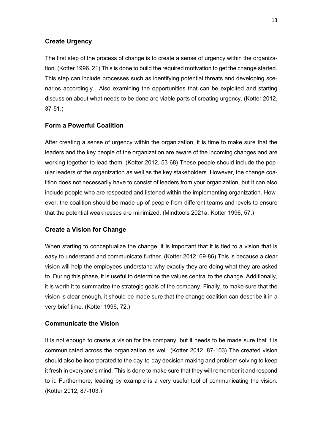# **Create Urgency**

The first step of the process of change is to create a sense of urgency within the organization. (Kotter 1996, 21) This is done to build the required motivation to get the change started. This step can include processes such as identifying potential threats and developing scenarios accordingly. Also examining the opportunities that can be exploited and starting discussion about what needs to be done are viable parts of creating urgency. (Kotter 2012, 37-51.)

# **Form a Powerful Coalition**

After creating a sense of urgency within the organization, it is time to make sure that the leaders and the key people of the organization are aware of the incoming changes and are working together to lead them. (Kotter 2012, 53-68) These people should include the popular leaders of the organization as well as the key stakeholders. However, the change coalition does not necessarily have to consist of leaders from your organization, but it can also include people who are respected and listened within the implementing organization. However, the coalition should be made up of people from different teams and levels to ensure that the potential weaknesses are minimized. (Mindtools 2021a, Kotter 1996, 57.)

## **Create a Vision for Change**

When starting to conceptualize the change, it is important that it is tied to a vision that is easy to understand and communicate further. (Kotter 2012, 69-86) This is because a clear vision will help the employees understand why exactly they are doing what they are asked to. During this phase, it is useful to determine the values central to the change. Additionally, it is worth it to summarize the strategic goals of the company. Finally, to make sure that the vision is clear enough, it should be made sure that the change coalition can describe it in a very brief time. (Kotter 1996, 72.)

## **Communicate the Vision**

It is not enough to create a vision for the company, but it needs to be made sure that it is communicated across the organization as well. (Kotter 2012, 87-103) The created vision should also be incorporated to the day-to-day decision making and problem solving to keep it fresh in everyone's mind. This is done to make sure that they will remember it and respond to it. Furthermore, leading by example is a very useful tool of communicating the vision. (Kotter 2012, 87-103.)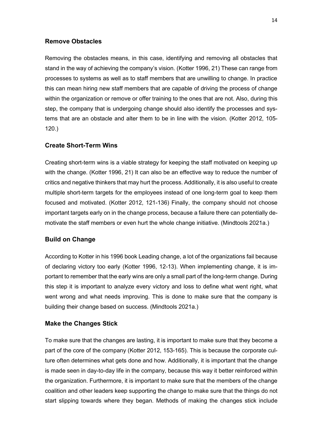## **Remove Obstacles**

Removing the obstacles means, in this case, identifying and removing all obstacles that stand in the way of achieving the company's vision. (Kotter 1996, 21) These can range from processes to systems as well as to staff members that are unwilling to change. In practice this can mean hiring new staff members that are capable of driving the process of change within the organization or remove or offer training to the ones that are not. Also, during this step, the company that is undergoing change should also identify the processes and systems that are an obstacle and alter them to be in line with the vision. (Kotter 2012, 105- 120.)

# **Create Short-Term Wins**

Creating short-term wins is a viable strategy for keeping the staff motivated on keeping up with the change. (Kotter 1996, 21) It can also be an effective way to reduce the number of critics and negative thinkers that may hurt the process. Additionally, it is also useful to create multiple short-term targets for the employees instead of one long-term goal to keep them focused and motivated. (Kotter 2012, 121-136) Finally, the company should not choose important targets early on in the change process, because a failure there can potentially demotivate the staff members or even hurt the whole change initiative. (Mindtools 2021a.)

## **Build on Change**

According to Kotter in his 1996 book Leading change, a lot of the organizations fail because of declaring victory too early (Kotter 1996, 12-13). When implementing change, it is important to remember that the early wins are only a small part of the long-term change. During this step it is important to analyze every victory and loss to define what went right, what went wrong and what needs improving. This is done to make sure that the company is building their change based on success. (Mindtools 2021a.)

## **Make the Changes Stick**

To make sure that the changes are lasting, it is important to make sure that they become a part of the core of the company (Kotter 2012, 153-165). This is because the corporate culture often determines what gets done and how. Additionally, it is important that the change is made seen in day-to-day life in the company, because this way it better reinforced within the organization. Furthermore, it is important to make sure that the members of the change coalition and other leaders keep supporting the change to make sure that the things do not start slipping towards where they began. Methods of making the changes stick include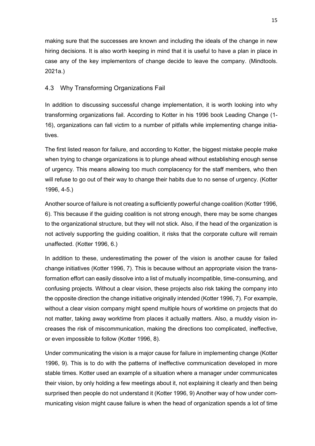making sure that the successes are known and including the ideals of the change in new hiring decisions. It is also worth keeping in mind that it is useful to have a plan in place in case any of the key implementors of change decide to leave the company. (Mindtools. 2021a.)

# <span id="page-18-0"></span>4.3 Why Transforming Organizations Fail

In addition to discussing successful change implementation, it is worth looking into why transforming organizations fail. According to Kotter in his 1996 book Leading Change (1- 16), organizations can fall victim to a number of pitfalls while implementing change initiatives.

The first listed reason for failure, and according to Kotter, the biggest mistake people make when trying to change organizations is to plunge ahead without establishing enough sense of urgency. This means allowing too much complacency for the staff members, who then will refuse to go out of their way to change their habits due to no sense of urgency. (Kotter 1996, 4-5.)

Another source of failure is not creating a sufficiently powerful change coalition (Kotter 1996, 6). This because if the guiding coalition is not strong enough, there may be some changes to the organizational structure, but they will not stick. Also, if the head of the organization is not actively supporting the guiding coalition, it risks that the corporate culture will remain unaffected. (Kotter 1996, 6.)

In addition to these, underestimating the power of the vision is another cause for failed change initiatives (Kotter 1996, 7). This is because without an appropriate vision the transformation effort can easily dissolve into a list of mutually incompatible, time-consuming, and confusing projects. Without a clear vision, these projects also risk taking the company into the opposite direction the change initiative originally intended (Kotter 1996, 7). For example, without a clear vision company might spend multiple hours of worktime on projects that do not matter, taking away worktime from places it actually matters. Also, a muddy vision increases the risk of miscommunication, making the directions too complicated, ineffective, or even impossible to follow (Kotter 1996, 8).

Under communicating the vision is a major cause for failure in implementing change (Kotter 1996, 9). This is to do with the patterns of ineffective communication developed in more stable times. Kotter used an example of a situation where a manager under communicates their vision, by only holding a few meetings about it, not explaining it clearly and then being surprised then people do not understand it (Kotter 1996, 9) Another way of how under communicating vision might cause failure is when the head of organization spends a lot of time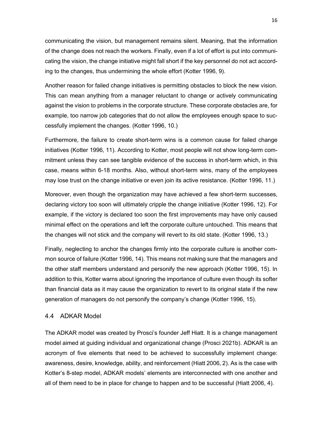communicating the vision, but management remains silent. Meaning, that the information of the change does not reach the workers. Finally, even if a lot of effort is put into communicating the vision, the change initiative might fall short if the key personnel do not act according to the changes, thus undermining the whole effort (Kotter 1996, 9).

Another reason for failed change initiatives is permitting obstacles to block the new vision. This can mean anything from a manager reluctant to change or actively communicating against the vision to problems in the corporate structure. These corporate obstacles are, for example, too narrow job categories that do not allow the employees enough space to successfully implement the changes. (Kotter 1996, 10.)

Furthermore, the failure to create short-term wins is a common cause for failed change initiatives (Kotter 1996, 11). According to Kotter, most people will not show long-term commitment unless they can see tangible evidence of the success in short-term which, in this case, means within 6-18 months. Also, without short-term wins, many of the employees may lose trust on the change initiative or even join its active resistance. (Kotter 1996, 11.)

Moreover, even though the organization may have achieved a few short-term successes, declaring victory too soon will ultimately cripple the change initiative (Kotter 1996, 12). For example, if the victory is declared too soon the first improvements may have only caused minimal effect on the operations and left the corporate culture untouched. This means that the changes will not stick and the company will revert to its old state. (Kotter 1996, 13.)

Finally, neglecting to anchor the changes firmly into the corporate culture is another common source of failure (Kotter 1996, 14). This means not making sure that the managers and the other staff members understand and personify the new approach (Kotter 1996, 15). In addition to this, Kotter warns about ignoring the importance of culture even though its softer than financial data as it may cause the organization to revert to its original state if the new generation of managers do not personify the company's change (Kotter 1996, 15).

## <span id="page-19-0"></span>4.4 ADKAR Model

The ADKAR model was created by Prosci's founder Jeff Hiatt. It is a change management model aimed at guiding individual and organizational change (Prosci 2021b). ADKAR is an acronym of five elements that need to be achieved to successfully implement change: awareness, desire, knowledge, ability, and reinforcement (Hiatt 2006, 2). As is the case with Kotter's 8-step model, ADKAR models' elements are interconnected with one another and all of them need to be in place for change to happen and to be successful (Hiatt 2006, 4).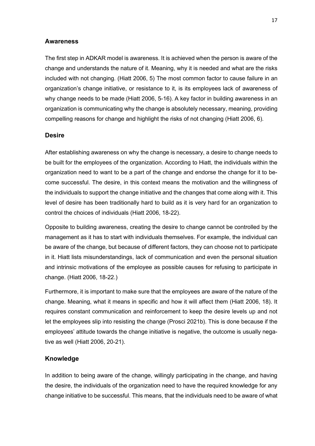#### **Awareness**

The first step in ADKAR model is awareness. It is achieved when the person is aware of the change and understands the nature of it. Meaning, why it is needed and what are the risks included with not changing. (Hiatt 2006, 5) The most common factor to cause failure in an organization's change initiative, or resistance to it, is its employees lack of awareness of why change needs to be made (Hiatt 2006, 5-16). A key factor in building awareness in an organization is communicating why the change is absolutely necessary, meaning, providing compelling reasons for change and highlight the risks of not changing (Hiatt 2006, 6).

## **Desire**

After establishing awareness on why the change is necessary, a desire to change needs to be built for the employees of the organization. According to Hiatt, the individuals within the organization need to want to be a part of the change and endorse the change for it to become successful. The desire, in this context means the motivation and the willingness of the individuals to support the change initiative and the changes that come along with it. This level of desire has been traditionally hard to build as it is very hard for an organization to control the choices of individuals (Hiatt 2006, 18-22).

Opposite to building awareness, creating the desire to change cannot be controlled by the management as it has to start with individuals themselves. For example, the individual can be aware of the change, but because of different factors, they can choose not to participate in it. Hiatt lists misunderstandings, lack of communication and even the personal situation and intrinsic motivations of the employee as possible causes for refusing to participate in change. (Hiatt 2006, 18-22.)

Furthermore, it is important to make sure that the employees are aware of the nature of the change. Meaning, what it means in specific and how it will affect them (Hiatt 2006, 18). It requires constant communication and reinforcement to keep the desire levels up and not let the employees slip into resisting the change (Prosci 2021b). This is done because if the employees' attitude towards the change initiative is negative, the outcome is usually negative as well (Hiatt 2006, 20-21).

#### **Knowledge**

In addition to being aware of the change, willingly participating in the change, and having the desire, the individuals of the organization need to have the required knowledge for any change initiative to be successful. This means, that the individuals need to be aware of what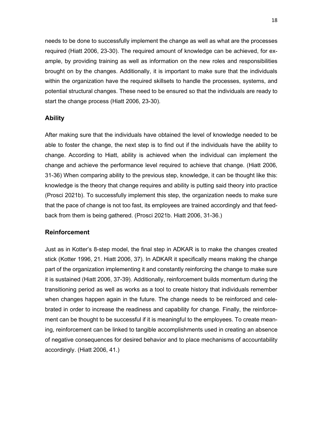needs to be done to successfully implement the change as well as what are the processes required (Hiatt 2006, 23-30). The required amount of knowledge can be achieved, for example, by providing training as well as information on the new roles and responsibilities brought on by the changes. Additionally, it is important to make sure that the individuals within the organization have the required skillsets to handle the processes, systems, and potential structural changes. These need to be ensured so that the individuals are ready to start the change process (Hiatt 2006, 23-30).

## **Ability**

After making sure that the individuals have obtained the level of knowledge needed to be able to foster the change, the next step is to find out if the individuals have the ability to change. According to Hiatt, ability is achieved when the individual can implement the change and achieve the performance level required to achieve that change. (Hiatt 2006, 31-36) When comparing ability to the previous step, knowledge, it can be thought like this: knowledge is the theory that change requires and ability is putting said theory into practice (Prosci 2021b). To successfully implement this step, the organization needs to make sure that the pace of change is not too fast, its employees are trained accordingly and that feedback from them is being gathered. (Prosci 2021b. Hiatt 2006, 31-36.)

#### **Reinforcement**

Just as in Kotter's 8-step model, the final step in ADKAR is to make the changes created stick (Kotter 1996, 21. Hiatt 2006, 37). In ADKAR it specifically means making the change part of the organization implementing it and constantly reinforcing the change to make sure it is sustained (Hiatt 2006, 37-39). Additionally, reinforcement builds momentum during the transitioning period as well as works as a tool to create history that individuals remember when changes happen again in the future. The change needs to be reinforced and celebrated in order to increase the readiness and capability for change. Finally, the reinforcement can be thought to be successful if it is meaningful to the employees. To create meaning, reinforcement can be linked to tangible accomplishments used in creating an absence of negative consequences for desired behavior and to place mechanisms of accountability accordingly. (Hiatt 2006, 41.)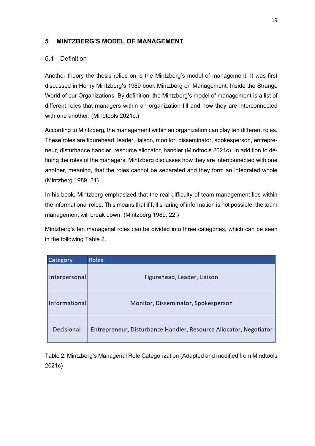# <span id="page-22-0"></span>**5 MINTZBERG'S MODEL OF MANAGEMENT**

# <span id="page-22-1"></span>5.1 Definition

Another theory the thesis relies on is the Mintzberg's model of management. It was first discussed in Henry Mintzberg's 1989 book Mintzberg on Management: Inside the Strange World of our Organizations. By definition, the Mintzberg's model of management is a list of different roles that managers within an organization fill and how they are interconnected with one another. (Mindtools 2021c.)

According to Mintzberg, the management within an organization can play ten different roles. These roles are figurehead, leader, liaison, monitor, disseminator, spokesperson, entrepreneur, disturbance handler, resource allocator, handler (Mindtools 2021c). In addition to defining the roles of the managers, Mintzberg discusses how they are interconnected with one another, meaning, that the roles cannot be separated and they form an integrated whole (Mintzberg 1989, 21).

In his book, Mintzberg emphasized that the real difficulty of team management lies within the informational roles. This means that if full sharing of information is not possible, the team management will break down. (Mintzberg 1989, 22.)

Mintzberg's ten managerial roles can be divided into three categories, which can be seen in the following Table 2.

| Category          | <b>Roles</b>                                                      |
|-------------------|-------------------------------------------------------------------|
| Interpersonal     | Figurehead, Leader, Liaison                                       |
| Informational     | Monitor, Disseminator, Spokesperson                               |
| <b>Decisional</b> | Entrepreneur, Disturbance Handler, Resource Allocator, Negotiator |

Table 2. Mintzberg's Managerial Role Categorization (Adapted and modified from Mindtools 2021c)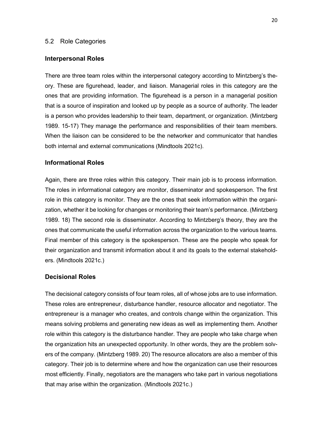#### <span id="page-23-0"></span>5.2 Role Categories

#### **Interpersonal Roles**

There are three team roles within the interpersonal category according to Mintzberg's theory. These are figurehead, leader, and liaison. Managerial roles in this category are the ones that are providing information. The figurehead is a person in a managerial position that is a source of inspiration and looked up by people as a source of authority. The leader is a person who provides leadership to their team, department, or organization. (Mintzberg 1989. 15-17) They manage the performance and responsibilities of their team members. When the liaison can be considered to be the networker and communicator that handles both internal and external communications (Mindtools 2021c).

## **Informational Roles**

Again, there are three roles within this category. Their main job is to process information. The roles in informational category are monitor, disseminator and spokesperson. The first role in this category is monitor. They are the ones that seek information within the organization, whether it be looking for changes or monitoring their team's performance. (Mintzberg 1989. 18) The second role is disseminator. According to Mintzberg's theory, they are the ones that communicate the useful information across the organization to the various teams. Final member of this category is the spokesperson. These are the people who speak for their organization and transmit information about it and its goals to the external stakeholders. (Mindtools 2021c.)

## **Decisional Roles**

The decisional category consists of four team roles, all of whose jobs are to use information. These roles are entrepreneur, disturbance handler, resource allocator and negotiator. The entrepreneur is a manager who creates, and controls change within the organization. This means solving problems and generating new ideas as well as implementing them. Another role within this category is the disturbance handler. They are people who take charge when the organization hits an unexpected opportunity. In other words, they are the problem solvers of the company. (Mintzberg 1989. 20) The resource allocators are also a member of this category. Their job is to determine where and how the organization can use their resources most efficiently. Finally, negotiators are the managers who take part in various negotiations that may arise within the organization. (Mindtools 2021c.)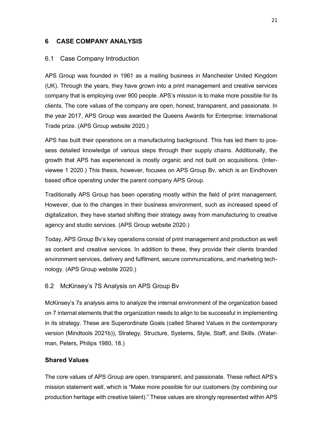## <span id="page-24-0"></span>**6 CASE COMPANY ANALYSIS**

#### <span id="page-24-1"></span>6.1 Case Company Introduction

APS Group was founded in 1961 as a mailing business in Manchester United Kingdom (UK). Through the years, they have grown into a print management and creative services company that is employing over 900 people. APS's mission is to make more possible for its clients. The core values of the company are open, honest, transparent, and passionate. In the year 2017, APS Group was awarded the Queens Awards for Enterprise: International Trade prize. (APS Group website 2020.)

APS has built their operations on a manufacturing background. This has led them to possess detailed knowledge of various steps through their supply chains. Additionally, the growth that APS has experienced is mostly organic and not built on acquisitions. (Interviewee 1 2020.) This thesis, however, focuses on APS Group Bv, which is an Eindhoven based office operating under the parent company APS Group.

Traditionally APS Group has been operating mostly within the field of print management. However, due to the changes in their business environment, such as increased speed of digitalization, they have started shifting their strategy away from manufacturing to creative agency and studio services. (APS Group website 2020.)

Today, APS Group Bv's key operations consist of print management and production as well as content and creative services. In addition to these, they provide their clients branded environment services, delivery and fulfilment, secure communications, and marketing technology. (APS Group website 2020.)

#### <span id="page-24-2"></span>6.2 McKinsey's 7S Analysis on APS Group Bv

McKinsey's 7s analysis aims to analyze the internal environment of the organization based on 7 internal elements that the organization needs to align to be successful in implementing in its strategy. These are Superordinate Goals (called Shared Values in the contemporary version (Mindtools 2021b)), Strategy, Structure, Systems, Style, Staff, and Skills. (Waterman, Peters, Philips 1980, 18.)

## **Shared Values**

The core values of APS Group are open, transparent, and passionate. These reflect APS's mission statement well, which is "Make more possible for our customers (by combining our production heritage with creative talent)." These values are strongly represented within APS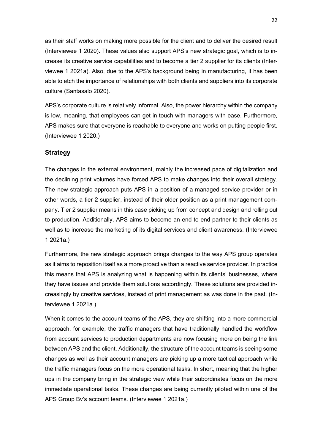as their staff works on making more possible for the client and to deliver the desired result (Interviewee 1 2020). These values also support APS's new strategic goal, which is to increase its creative service capabilities and to become a tier 2 supplier for its clients (Interviewee 1 2021a). Also, due to the APS's background being in manufacturing, it has been able to etch the importance of relationships with both clients and suppliers into its corporate culture (Santasalo 2020).

APS's corporate culture is relatively informal. Also, the power hierarchy within the company is low, meaning, that employees can get in touch with managers with ease. Furthermore, APS makes sure that everyone is reachable to everyone and works on putting people first. (Interviewee 1 2020.)

## **Strategy**

The changes in the external environment, mainly the increased pace of digitalization and the declining print volumes have forced APS to make changes into their overall strategy. The new strategic approach puts APS in a position of a managed service provider or in other words, a tier 2 supplier, instead of their older position as a print management company. Tier 2 supplier means in this case picking up from concept and design and rolling out to production. Additionally, APS aims to become an end-to-end partner to their clients as well as to increase the marketing of its digital services and client awareness. (Interviewee 1 2021a.)

Furthermore, the new strategic approach brings changes to the way APS group operates as it aims to reposition itself as a more proactive than a reactive service provider. In practice this means that APS is analyzing what is happening within its clients' businesses, where they have issues and provide them solutions accordingly. These solutions are provided increasingly by creative services, instead of print management as was done in the past. (Interviewee 1 2021a.)

When it comes to the account teams of the APS, they are shifting into a more commercial approach, for example, the traffic managers that have traditionally handled the workflow from account services to production departments are now focusing more on being the link between APS and the client. Additionally, the structure of the account teams is seeing some changes as well as their account managers are picking up a more tactical approach while the traffic managers focus on the more operational tasks. In short, meaning that the higher ups in the company bring in the strategic view while their subordinates focus on the more immediate operational tasks. These changes are being currently piloted within one of the APS Group Bv's account teams. (Interviewee 1 2021a.)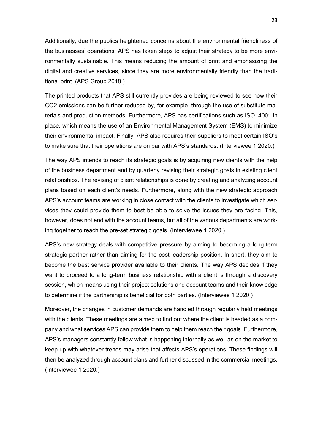Additionally, due the publics heightened concerns about the environmental friendliness of the businesses' operations, APS has taken steps to adjust their strategy to be more environmentally sustainable. This means reducing the amount of print and emphasizing the digital and creative services, since they are more environmentally friendly than the traditional print. (APS Group 2018.)

The printed products that APS still currently provides are being reviewed to see how their CO2 emissions can be further reduced by, for example, through the use of substitute materials and production methods. Furthermore, APS has certifications such as ISO14001 in place, which means the use of an Environmental Management System (EMS) to minimize their environmental impact. Finally, APS also requires their suppliers to meet certain ISO's to make sure that their operations are on par with APS's standards. (Interviewee 1 2020.)

The way APS intends to reach its strategic goals is by acquiring new clients with the help of the business department and by quarterly revising their strategic goals in existing client relationships. The revising of client relationships is done by creating and analyzing account plans based on each client's needs. Furthermore, along with the new strategic approach APS's account teams are working in close contact with the clients to investigate which services they could provide them to best be able to solve the issues they are facing. This, however, does not end with the account teams, but all of the various departments are working together to reach the pre-set strategic goals. (Interviewee 1 2020.)

APS's new strategy deals with competitive pressure by aiming to becoming a long-term strategic partner rather than aiming for the cost-leadership position. In short, they aim to become the best service provider available to their clients. The way APS decides if they want to proceed to a long-term business relationship with a client is through a discovery session, which means using their project solutions and account teams and their knowledge to determine if the partnership is beneficial for both parties. (Interviewee 1 2020.)

Moreover, the changes in customer demands are handled through regularly held meetings with the clients. These meetings are aimed to find out where the client is headed as a company and what services APS can provide them to help them reach their goals. Furthermore, APS's managers constantly follow what is happening internally as well as on the market to keep up with whatever trends may arise that affects APS's operations. These findings will then be analyzed through account plans and further discussed in the commercial meetings. (Interviewee 1 2020.)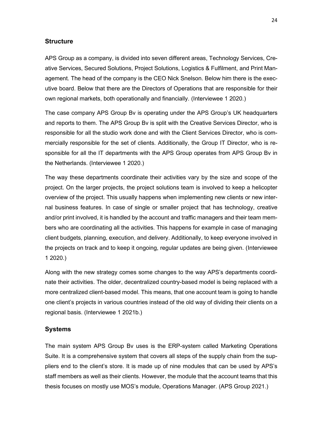#### **Structure**

APS Group as a company, is divided into seven different areas, Technology Services, Creative Services, Secured Solutions, Project Solutions, Logistics & Fulfilment, and Print Management. The head of the company is the CEO Nick Snelson. Below him there is the executive board. Below that there are the Directors of Operations that are responsible for their own regional markets, both operationally and financially. (Interviewee 1 2020.)

The case company APS Group Bv is operating under the APS Group's UK headquarters and reports to them. The APS Group Bv is split with the Creative Services Director, who is responsible for all the studio work done and with the Client Services Director, who is commercially responsible for the set of clients. Additionally, the Group IT Director, who is responsible for all the IT departments with the APS Group operates from APS Group Bv in the Netherlands. (Interviewee 1 2020.)

The way these departments coordinate their activities vary by the size and scope of the project. On the larger projects, the project solutions team is involved to keep a helicopter overview of the project. This usually happens when implementing new clients or new internal business features. In case of single or smaller project that has technology, creative and/or print involved, it is handled by the account and traffic managers and their team members who are coordinating all the activities. This happens for example in case of managing client budgets, planning, execution, and delivery. Additionally, to keep everyone involved in the projects on track and to keep it ongoing, regular updates are being given. (Interviewee 1 2020.)

Along with the new strategy comes some changes to the way APS's departments coordinate their activities. The older, decentralized country-based model is being replaced with a more centralized client-based model. This means, that one account team is going to handle one client's projects in various countries instead of the old way of dividing their clients on a regional basis. (Interviewee 1 2021b.)

#### **Systems**

The main system APS Group Bv uses is the ERP-system called Marketing Operations Suite. It is a comprehensive system that covers all steps of the supply chain from the suppliers end to the client's store. It is made up of nine modules that can be used by APS's staff members as well as their clients. However, the module that the account teams that this thesis focuses on mostly use MOS's module, Operations Manager. (APS Group 2021.)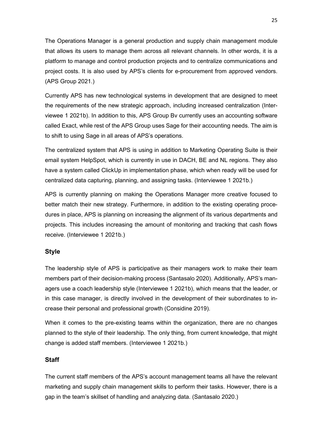The Operations Manager is a general production and supply chain management module that allows its users to manage them across all relevant channels. In other words, it is a platform to manage and control production projects and to centralize communications and project costs. It is also used by APS's clients for e-procurement from approved vendors. (APS Group 2021.)

Currently APS has new technological systems in development that are designed to meet the requirements of the new strategic approach, including increased centralization (Interviewee 1 2021b). In addition to this, APS Group Bv currently uses an accounting software called Exact, while rest of the APS Group uses Sage for their accounting needs. The aim is to shift to using Sage in all areas of APS's operations.

The centralized system that APS is using in addition to Marketing Operating Suite is their email system HelpSpot, which is currently in use in DACH, BE and NL regions. They also have a system called ClickUp in implementation phase, which when ready will be used for centralized data capturing, planning, and assigning tasks. (Interviewee 1 2021b.)

APS is currently planning on making the Operations Manager more creative focused to better match their new strategy. Furthermore, in addition to the existing operating procedures in place, APS is planning on increasing the alignment of its various departments and projects. This includes increasing the amount of monitoring and tracking that cash flows receive. (Interviewee 1 2021b.)

## **Style**

The leadership style of APS is participative as their managers work to make their team members part of their decision-making process (Santasalo 2020). Additionally, APS's managers use a coach leadership style (Interviewee 1 2021b), which means that the leader, or in this case manager, is directly involved in the development of their subordinates to increase their personal and professional growth (Considine 2019).

When it comes to the pre-existing teams within the organization, there are no changes planned to the style of their leadership. The only thing, from current knowledge, that might change is added staff members. (Interviewee 1 2021b.)

## **Staff**

The current staff members of the APS's account management teams all have the relevant marketing and supply chain management skills to perform their tasks. However, there is a gap in the team's skillset of handling and analyzing data. (Santasalo 2020.)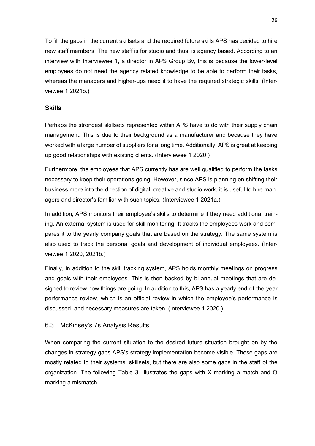To fill the gaps in the current skillsets and the required future skills APS has decided to hire new staff members. The new staff is for studio and thus, is agency based. According to an interview with Interviewee 1, a director in APS Group Bv, this is because the lower-level employees do not need the agency related knowledge to be able to perform their tasks, whereas the managers and higher-ups need it to have the required strategic skills. (Interviewee 1 2021b.)

# **Skills**

Perhaps the strongest skillsets represented within APS have to do with their supply chain management. This is due to their background as a manufacturer and because they have worked with a large number of suppliers for a long time. Additionally, APS is great at keeping up good relationships with existing clients. (Interviewee 1 2020.)

Furthermore, the employees that APS currently has are well qualified to perform the tasks necessary to keep their operations going. However, since APS is planning on shifting their business more into the direction of digital, creative and studio work, it is useful to hire managers and director's familiar with such topics. (Interviewee 1 2021a.)

In addition, APS monitors their employee's skills to determine if they need additional training. An external system is used for skill monitoring. It tracks the employees work and compares it to the yearly company goals that are based on the strategy. The same system is also used to track the personal goals and development of individual employees. (Interviewee 1 2020, 2021b.)

Finally, in addition to the skill tracking system, APS holds monthly meetings on progress and goals with their employees. This is then backed by bi-annual meetings that are designed to review how things are going. In addition to this, APS has a yearly end-of-the-year performance review, which is an official review in which the employee's performance is discussed, and necessary measures are taken. (Interviewee 1 2020.)

# <span id="page-29-0"></span>6.3 McKinsey's 7s Analysis Results

When comparing the current situation to the desired future situation brought on by the changes in strategy gaps APS's strategy implementation become visible. These gaps are mostly related to their systems, skillsets, but there are also some gaps in the staff of the organization. The following Table 3. illustrates the gaps with X marking a match and O marking a mismatch.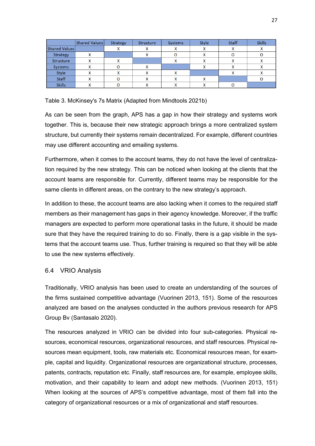|                      | <b>Shared Values</b> | Strategy | Structure | Systems | Style     | <b>Staff</b> | <b>Skills</b> |
|----------------------|----------------------|----------|-----------|---------|-----------|--------------|---------------|
| <b>Shared Values</b> |                      |          |           | x       |           |              |               |
| Strategy             | ́                    |          |           |         |           |              |               |
| Structure            |                      |          |           |         |           |              |               |
| Systems              | $\overline{ }$       |          |           |         |           |              |               |
| <b>Style</b>         | Λ                    |          |           | x       |           |              |               |
| <b>Staff</b>         | A                    |          |           | x       | $\lambda$ |              |               |
| <b>Skills</b>        |                      |          |           |         |           |              |               |

Table 3. McKinsey's 7s Matrix (Adapted from Mindtools 2021b)

As can be seen from the graph, APS has a gap in how their strategy and systems work together. This is, because their new strategic approach brings a more centralized system structure, but currently their systems remain decentralized. For example, different countries may use different accounting and emailing systems.

Furthermore, when it comes to the account teams, they do not have the level of centralization required by the new strategy. This can be noticed when looking at the clients that the account teams are responsible for. Currently, different teams may be responsible for the same clients in different areas, on the contrary to the new strategy's approach.

In addition to these, the account teams are also lacking when it comes to the required staff members as their management has gaps in their agency knowledge. Moreover, if the traffic managers are expected to perform more operational tasks in the future, it should be made sure that they have the required training to do so. Finally, there is a gap visible in the systems that the account teams use. Thus, further training is required so that they will be able to use the new systems effectively.

# <span id="page-30-0"></span>6.4 VRIO Analysis

Traditionally, VRIO analysis has been used to create an understanding of the sources of the firms sustained competitive advantage (Vuorinen 2013, 151). Some of the resources analyzed are based on the analyses conducted in the authors previous research for APS Group Bv (Santasalo 2020).

The resources analyzed in VRIO can be divided into four sub-categories. Physical resources, economical resources, organizational resources, and staff resources. Physical resources mean equipment, tools, raw materials etc. Economical resources mean, for example, capital and liquidity. Organizational resources are organizational structure, processes, patents, contracts, reputation etc. Finally, staff resources are, for example, employee skills, motivation, and their capability to learn and adopt new methods. (Vuorinen 2013, 151) When looking at the sources of APS's competitive advantage, most of them fall into the category of organizational resources or a mix of organizational and staff resources.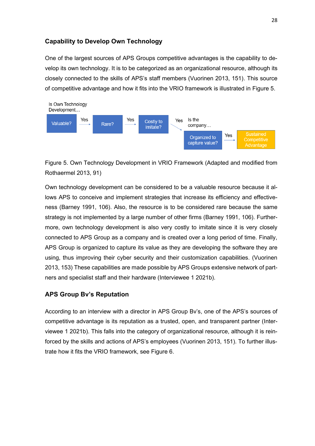# **Capability to Develop Own Technology**

One of the largest sources of APS Groups competitive advantages is the capability to develop its own technology. It is to be categorized as an organizational resource, although its closely connected to the skills of APS's staff members (Vuorinen 2013, 151). This source of competitive advantage and how it fits into the VRIO framework is illustrated in Figure 5.



Figure 5. Own Technology Development in VRIO Framework (Adapted and modified from Rothaermel 2013, 91)

Own technology development can be considered to be a valuable resource because it allows APS to conceive and implement strategies that increase its efficiency and effectiveness (Barney 1991, 106). Also, the resource is to be considered rare because the same strategy is not implemented by a large number of other firms (Barney 1991, 106). Furthermore, own technology development is also very costly to imitate since it is very closely connected to APS Group as a company and is created over a long period of time. Finally, APS Group is organized to capture its value as they are developing the software they are using, thus improving their cyber security and their customization capabilities. (Vuorinen 2013, 153) These capabilities are made possible by APS Groups extensive network of partners and specialist staff and their hardware (Interviewee 1 2021b).

## **APS Group Bv's Reputation**

According to an interview with a director in APS Group Bv's, one of the APS's sources of competitive advantage is its reputation as a trusted, open, and transparent partner (Interviewee 1 2021b). This falls into the category of organizational resource, although it is reinforced by the skills and actions of APS's employees (Vuorinen 2013, 151). To further illustrate how it fits the VRIO framework, see Figure 6.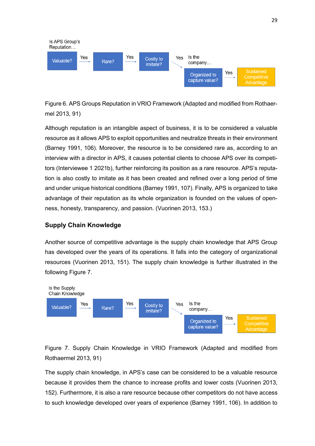

Figure 6. APS Groups Reputation in VRIO Framework (Adapted and modified from Rothaermel 2013, 91)

Although reputation is an intangible aspect of business, it is to be considered a valuable resource as it allows APS to exploit opportunities and neutralize threats in their environment (Barney 1991, 106). Moreover, the resource is to be considered rare as, according to an interview with a director in APS, it causes potential clients to choose APS over its competitors (Interviewee 1 2021b), further reinforcing its position as a rare resource. APS's reputation is also costly to imitate as it has been created and refined over a long period of time and under unique historical conditions (Barney 1991, 107). Finally, APS is organized to take advantage of their reputation as its whole organization is founded on the values of openness, honesty, transparency, and passion. (Vuorinen 2013, 153.)

# **Supply Chain Knowledge**

Another source of competitive advantage is the supply chain knowledge that APS Group has developed over the years of its operations. It falls into the category of organizational resources (Vuorinen 2013, 151). The supply chain knowledge is further illustrated in the following Figure 7.



Figure 7. Supply Chain Knowledge in VRIO Framework (Adapted and modified from Rothaermel 2013, 91)

The supply chain knowledge, in APS's case can be considered to be a valuable resource because it provides them the chance to increase profits and lower costs (Vuorinen 2013, 152). Furthermore, it is also a rare resource because other competitors do not have access to such knowledge developed over years of experience (Barney 1991, 106). In addition to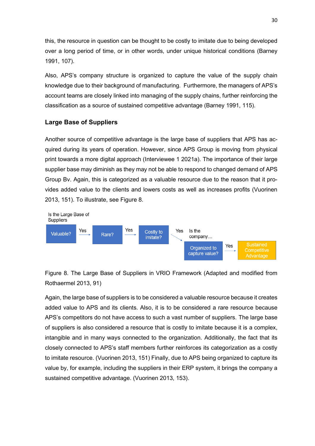this, the resource in question can be thought to be costly to imitate due to being developed over a long period of time, or in other words, under unique historical conditions (Barney 1991, 107).

Also, APS's company structure is organized to capture the value of the supply chain knowledge due to their background of manufacturing. Furthermore, the managers of APS's account teams are closely linked into managing of the supply chains, further reinforcing the classification as a source of sustained competitive advantage (Barney 1991, 115).

# **Large Base of Suppliers**

Another source of competitive advantage is the large base of suppliers that APS has acquired during its years of operation. However, since APS Group is moving from physical print towards a more digital approach (Interviewee 1 2021a). The importance of their large supplier base may diminish as they may not be able to respond to changed demand of APS Group Bv. Again, this is categorized as a valuable resource due to the reason that it provides added value to the clients and lowers costs as well as increases profits (Vuorinen 2013, 151). To illustrate, see Figure 8.



Figure 8. The Large Base of Suppliers in VRIO Framework (Adapted and modified from Rothaermel 2013, 91)

Again, the large base of suppliers is to be considered a valuable resource because it creates added value to APS and its clients. Also, it is to be considered a rare resource because APS's competitors do not have access to such a vast number of suppliers. The large base of suppliers is also considered a resource that is costly to imitate because it is a complex, intangible and in many ways connected to the organization. Additionally, the fact that its closely connected to APS's staff members further reinforces its categorization as a costly to imitate resource. (Vuorinen 2013, 151) Finally, due to APS being organized to capture its value by, for example, including the suppliers in their ERP system, it brings the company a sustained competitive advantage. (Vuorinen 2013, 153).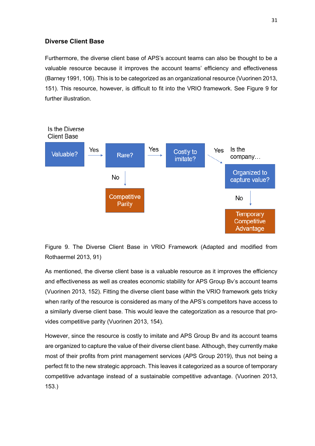# **Diverse Client Base**

Furthermore, the diverse client base of APS's account teams can also be thought to be a valuable resource because it improves the account teams' efficiency and effectiveness (Barney 1991, 106). This is to be categorized as an organizational resource (Vuorinen 2013, 151). This resource, however, is difficult to fit into the VRIO framework. See Figure 9 for further illustration.



Figure 9. The Diverse Client Base in VRIO Framework (Adapted and modified from Rothaermel 2013, 91)

As mentioned, the diverse client base is a valuable resource as it improves the efficiency and effectiveness as well as creates economic stability for APS Group Bv's account teams (Vuorinen 2013, 152). Fitting the diverse client base within the VRIO framework gets tricky when rarity of the resource is considered as many of the APS's competitors have access to a similarly diverse client base. This would leave the categorization as a resource that provides competitive parity (Vuorinen 2013, 154).

However, since the resource is costly to imitate and APS Group Bv and its account teams are organized to capture the value of their diverse client base. Although, they currently make most of their profits from print management services (APS Group 2019), thus not being a perfect fit to the new strategic approach. This leaves it categorized as a source of temporary competitive advantage instead of a sustainable competitive advantage. (Vuorinen 2013, 153.)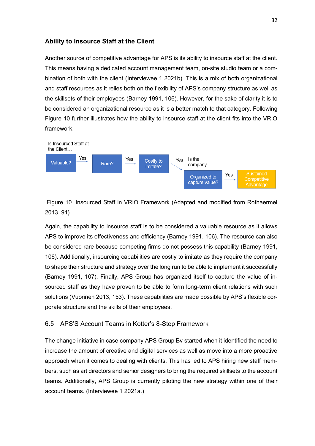# **Ability to Insource Staff at the Client**

Another source of competitive advantage for APS is its ability to insource staff at the client. This means having a dedicated account management team, on-site studio team or a combination of both with the client (Interviewee 1 2021b). This is a mix of both organizational and staff resources as it relies both on the flexibility of APS's company structure as well as the skillsets of their employees (Barney 1991, 106). However, for the sake of clarity it is to be considered an organizational resource as it is a better match to that category. Following Figure 10 further illustrates how the ability to insource staff at the client fits into the VRIO framework.



Figure 10. Insourced Staff in VRIO Framework (Adapted and modified from Rothaermel 2013, 91)

Again, the capability to insource staff is to be considered a valuable resource as it allows APS to improve its effectiveness and efficiency (Barney 1991, 106). The resource can also be considered rare because competing firms do not possess this capability (Barney 1991, 106). Additionally, insourcing capabilities are costly to imitate as they require the company to shape their structure and strategy over the long run to be able to implement it successfully (Barney 1991, 107). Finally, APS Group has organized itself to capture the value of insourced staff as they have proven to be able to form long-term client relations with such solutions (Vuorinen 2013, 153). These capabilities are made possible by APS's flexible corporate structure and the skills of their employees.

## <span id="page-35-0"></span>6.5 APS'S Account Teams in Kotter's 8-Step Framework

The change initiative in case company APS Group Bv started when it identified the need to increase the amount of creative and digital services as well as move into a more proactive approach when it comes to dealing with clients. This has led to APS hiring new staff members, such as art directors and senior designers to bring the required skillsets to the account teams. Additionally, APS Group is currently piloting the new strategy within one of their account teams. (Interviewee 1 2021a.)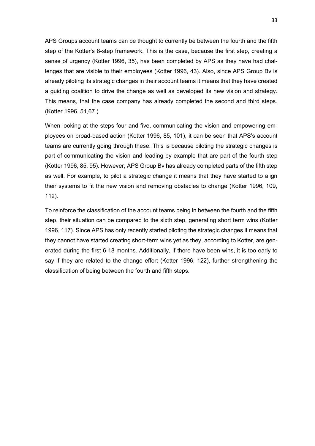APS Groups account teams can be thought to currently be between the fourth and the fifth step of the Kotter's 8-step framework. This is the case, because the first step, creating a sense of urgency (Kotter 1996, 35), has been completed by APS as they have had challenges that are visible to their employees (Kotter 1996, 43). Also, since APS Group Bv is already piloting its strategic changes in their account teams it means that they have created a guiding coalition to drive the change as well as developed its new vision and strategy. This means, that the case company has already completed the second and third steps. (Kotter 1996, 51,67.)

When looking at the steps four and five, communicating the vision and empowering employees on broad-based action (Kotter 1996, 85, 101), it can be seen that APS's account teams are currently going through these. This is because piloting the strategic changes is part of communicating the vision and leading by example that are part of the fourth step (Kotter 1996, 85, 95). However, APS Group Bv has already completed parts of the fifth step as well. For example, to pilot a strategic change it means that they have started to align their systems to fit the new vision and removing obstacles to change (Kotter 1996, 109, 112).

To reinforce the classification of the account teams being in between the fourth and the fifth step, their situation can be compared to the sixth step, generating short term wins (Kotter 1996, 117). Since APS has only recently started piloting the strategic changes it means that they cannot have started creating short-term wins yet as they, according to Kotter, are generated during the first 6-18 months. Additionally, if there have been wins, it is too early to say if they are related to the change effort (Kotter 1996, 122), further strengthening the classification of being between the fourth and fifth steps.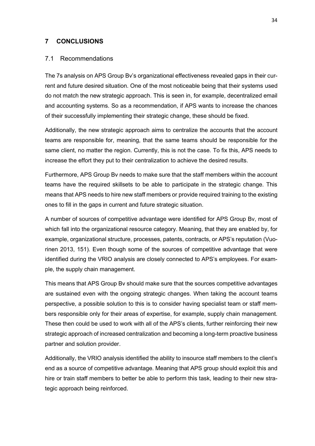#### <span id="page-37-0"></span>**7 CONCLUSIONS**

#### <span id="page-37-1"></span>7.1 Recommendations

The 7s analysis on APS Group Bv's organizational effectiveness revealed gaps in their current and future desired situation. One of the most noticeable being that their systems used do not match the new strategic approach. This is seen in, for example, decentralized email and accounting systems. So as a recommendation, if APS wants to increase the chances of their successfully implementing their strategic change, these should be fixed.

Additionally, the new strategic approach aims to centralize the accounts that the account teams are responsible for, meaning, that the same teams should be responsible for the same client, no matter the region. Currently, this is not the case. To fix this, APS needs to increase the effort they put to their centralization to achieve the desired results.

Furthermore, APS Group Bv needs to make sure that the staff members within the account teams have the required skillsets to be able to participate in the strategic change. This means that APS needs to hire new staff members or provide required training to the existing ones to fill in the gaps in current and future strategic situation.

A number of sources of competitive advantage were identified for APS Group Bv, most of which fall into the organizational resource category. Meaning, that they are enabled by, for example, organizational structure, processes, patents, contracts, or APS's reputation (Vuorinen 2013, 151). Even though some of the sources of competitive advantage that were identified during the VRIO analysis are closely connected to APS's employees. For example, the supply chain management.

This means that APS Group Bv should make sure that the sources competitive advantages are sustained even with the ongoing strategic changes. When taking the account teams perspective, a possible solution to this is to consider having specialist team or staff members responsible only for their areas of expertise, for example, supply chain management. These then could be used to work with all of the APS's clients, further reinforcing their new strategic approach of increased centralization and becoming a long-term proactive business partner and solution provider.

Additionally, the VRIO analysis identified the ability to insource staff members to the client's end as a source of competitive advantage. Meaning that APS group should exploit this and hire or train staff members to better be able to perform this task, leading to their new strategic approach being reinforced.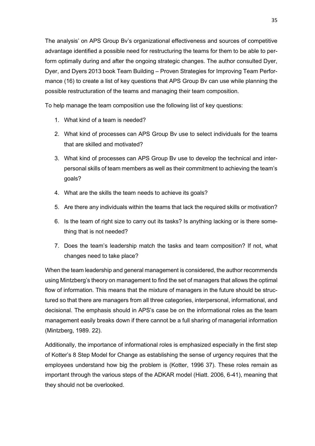The analysis' on APS Group Bv's organizational effectiveness and sources of competitive advantage identified a possible need for restructuring the teams for them to be able to perform optimally during and after the ongoing strategic changes. The author consulted Dyer, Dyer, and Dyers 2013 book Team Building – Proven Strategies for Improving Team Performance (16) to create a list of key questions that APS Group Bv can use while planning the possible restructuration of the teams and managing their team composition.

To help manage the team composition use the following list of key questions:

- 1. What kind of a team is needed?
- 2. What kind of processes can APS Group Bv use to select individuals for the teams that are skilled and motivated?
- 3. What kind of processes can APS Group Bv use to develop the technical and interpersonal skills of team members as well as their commitment to achieving the team's goals?
- 4. What are the skills the team needs to achieve its goals?
- 5. Are there any individuals within the teams that lack the required skills or motivation?
- 6. Is the team of right size to carry out its tasks? Is anything lacking or is there something that is not needed?
- 7. Does the team's leadership match the tasks and team composition? If not, what changes need to take place?

When the team leadership and general management is considered, the author recommends using Mintzberg's theory on management to find the set of managers that allows the optimal flow of information. This means that the mixture of managers in the future should be structured so that there are managers from all three categories, interpersonal, informational, and decisional. The emphasis should in APS's case be on the informational roles as the team management easily breaks down if there cannot be a full sharing of managerial information (Mintzberg, 1989. 22).

Additionally, the importance of informational roles is emphasized especially in the first step of Kotter's 8 Step Model for Change as establishing the sense of urgency requires that the employees understand how big the problem is (Kotter, 1996 37). These roles remain as important through the various steps of the ADKAR model (Hiatt. 2006, 6-41), meaning that they should not be overlooked.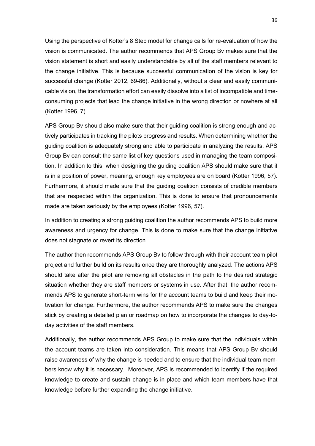Using the perspective of Kotter's 8 Step model for change calls for re-evaluation of how the vision is communicated. The author recommends that APS Group Bv makes sure that the vision statement is short and easily understandable by all of the staff members relevant to the change initiative. This is because successful communication of the vision is key for successful change (Kotter 2012, 69-86). Additionally, without a clear and easily communicable vision, the transformation effort can easily dissolve into a list of incompatible and timeconsuming projects that lead the change initiative in the wrong direction or nowhere at all (Kotter 1996, 7).

APS Group Bv should also make sure that their guiding coalition is strong enough and actively participates in tracking the pilots progress and results. When determining whether the guiding coalition is adequately strong and able to participate in analyzing the results, APS Group Bv can consult the same list of key questions used in managing the team composition. In addition to this, when designing the guiding coalition APS should make sure that it is in a position of power, meaning, enough key employees are on board (Kotter 1996, 57). Furthermore, it should made sure that the guiding coalition consists of credible members that are respected within the organization. This is done to ensure that pronouncements made are taken seriously by the employees (Kotter 1996, 57).

In addition to creating a strong guiding coalition the author recommends APS to build more awareness and urgency for change. This is done to make sure that the change initiative does not stagnate or revert its direction.

The author then recommends APS Group Bv to follow through with their account team pilot project and further build on its results once they are thoroughly analyzed. The actions APS should take after the pilot are removing all obstacles in the path to the desired strategic situation whether they are staff members or systems in use. After that, the author recommends APS to generate short-term wins for the account teams to build and keep their motivation for change. Furthermore, the author recommends APS to make sure the changes stick by creating a detailed plan or roadmap on how to incorporate the changes to day-today activities of the staff members.

Additionally, the author recommends APS Group to make sure that the individuals within the account teams are taken into consideration. This means that APS Group Bv should raise awareness of why the change is needed and to ensure that the individual team members know why it is necessary. Moreover, APS is recommended to identify if the required knowledge to create and sustain change is in place and which team members have that knowledge before further expanding the change initiative.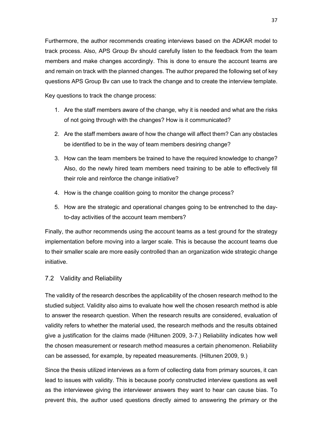Furthermore, the author recommends creating interviews based on the ADKAR model to track process. Also, APS Group Bv should carefully listen to the feedback from the team members and make changes accordingly. This is done to ensure the account teams are and remain on track with the planned changes. The author prepared the following set of key questions APS Group Bv can use to track the change and to create the interview template.

Key questions to track the change process:

- 1. Are the staff members aware of the change, why it is needed and what are the risks of not going through with the changes? How is it communicated?
- 2. Are the staff members aware of how the change will affect them? Can any obstacles be identified to be in the way of team members desiring change?
- 3. How can the team members be trained to have the required knowledge to change? Also, do the newly hired team members need training to be able to effectively fill their role and reinforce the change initiative?
- 4. How is the change coalition going to monitor the change process?
- 5. How are the strategic and operational changes going to be entrenched to the dayto-day activities of the account team members?

Finally, the author recommends using the account teams as a test ground for the strategy implementation before moving into a larger scale. This is because the account teams due to their smaller scale are more easily controlled than an organization wide strategic change initiative.

## <span id="page-40-0"></span>7.2 Validity and Reliability

The validity of the research describes the applicability of the chosen research method to the studied subject. Validity also aims to evaluate how well the chosen research method is able to answer the research question. When the research results are considered, evaluation of validity refers to whether the material used, the research methods and the results obtained give a justification for the claims made (Hiltunen 2009, 3-7.) Reliability indicates how well the chosen measurement or research method measures a certain phenomenon. Reliability can be assessed, for example, by repeated measurements. (Hiltunen 2009, 9.)

Since the thesis utilized interviews as a form of collecting data from primary sources, it can lead to issues with validity. This is because poorly constructed interview questions as well as the interviewee giving the interviewer answers they want to hear can cause bias. To prevent this, the author used questions directly aimed to answering the primary or the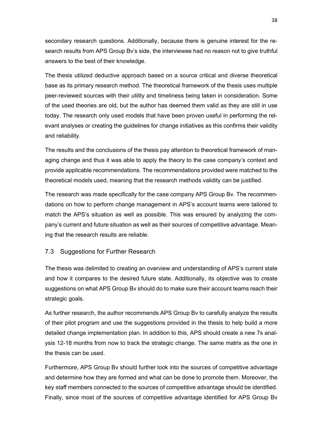secondary research questions. Additionally, because there is genuine interest for the research results from APS Group Bv's side, the interviewee had no reason not to give truthful answers to the best of their knowledge.

The thesis utilized deductive approach based on a source critical and diverse theoretical base as its primary research method. The theoretical framework of the thesis uses multiple peer-reviewed sources with their utility and timeliness being taken in consideration. Some of the used theories are old, but the author has deemed them valid as they are still in use today. The research only used models that have been proven useful in performing the relevant analyses or creating the guidelines for change initiatives as this confirms their validity and reliability.

The results and the conclusions of the thesis pay attention to theoretical framework of managing change and thus it was able to apply the theory to the case company's context and provide applicable recommendations. The recommendations provided were matched to the theoretical models used, meaning that the research methods validity can be justified.

The research was made specifically for the case company APS Group Bv. The recommendations on how to perform change management in APS's account teams were tailored to match the APS's situation as well as possible. This was ensured by analyzing the company's current and future situation as well as their sources of competitive advantage. Meaning that the research results are reliable.

## <span id="page-41-0"></span>7.3 Suggestions for Further Research

The thesis was delimited to creating an overview and understanding of APS's current state and how it compares to the desired future state. Additionally, its objective was to create suggestions on what APS Group Bv should do to make sure their account teams reach their strategic goals.

As further research, the author recommends APS Group Bv to carefully analyze the results of their pilot program and use the suggestions provided in the thesis to help build a more detailed change implementation plan. In addition to this, APS should create a new 7s analysis 12-18 months from now to track the strategic change. The same matrix as the one in the thesis can be used.

Furthermore, APS Group Bv should further look into the sources of competitive advantage and determine how they are formed and what can be done to promote them. Moreover, the key staff members connected to the sources of competitive advantage should be identified. Finally, since most of the sources of competitive advantage identified for APS Group Bv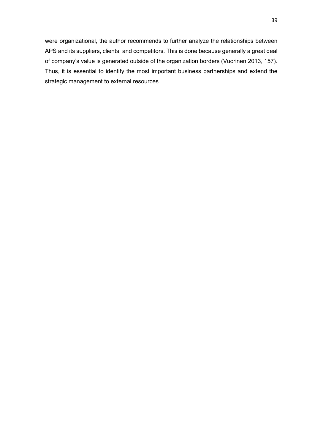were organizational, the author recommends to further analyze the relationships between APS and its suppliers, clients, and competitors. This is done because generally a great deal of company's value is generated outside of the organization borders (Vuorinen 2013, 157). Thus, it is essential to identify the most important business partnerships and extend the strategic management to external resources.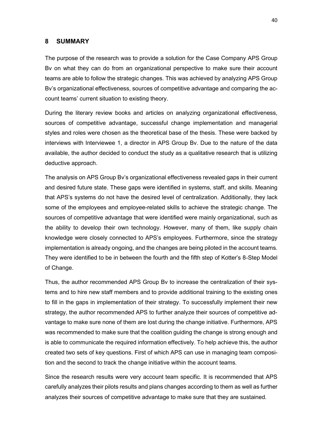### <span id="page-43-0"></span>**8 SUMMARY**

The purpose of the research was to provide a solution for the Case Company APS Group Bv on what they can do from an organizational perspective to make sure their account teams are able to follow the strategic changes. This was achieved by analyzing APS Group Bv's organizational effectiveness, sources of competitive advantage and comparing the account teams' current situation to existing theory.

During the literary review books and articles on analyzing organizational effectiveness, sources of competitive advantage, successful change implementation and managerial styles and roles were chosen as the theoretical base of the thesis. These were backed by interviews with Interviewee 1, a director in APS Group Bv. Due to the nature of the data available, the author decided to conduct the study as a qualitative research that is utilizing deductive approach.

The analysis on APS Group Bv's organizational effectiveness revealed gaps in their current and desired future state. These gaps were identified in systems, staff, and skills. Meaning that APS's systems do not have the desired level of centralization. Additionally, they lack some of the employees and employee-related skills to achieve the strategic change. The sources of competitive advantage that were identified were mainly organizational, such as the ability to develop their own technology. However, many of them, like supply chain knowledge were closely connected to APS's employees. Furthermore, since the strategy implementation is already ongoing, and the changes are being piloted in the account teams. They were identified to be in between the fourth and the fifth step of Kotter's 8-Step Model of Change.

Thus, the author recommended APS Group Bv to increase the centralization of their systems and to hire new staff members and to provide additional training to the existing ones to fill in the gaps in implementation of their strategy. To successfully implement their new strategy, the author recommended APS to further analyze their sources of competitive advantage to make sure none of them are lost during the change initiative. Furthermore, APS was recommended to make sure that the coalition guiding the change is strong enough and is able to communicate the required information effectively. To help achieve this, the author created two sets of key questions. First of which APS can use in managing team composition and the second to track the change initiative within the account teams.

Since the research results were very account team specific. It is recommended that APS carefully analyzes their pilots results and plans changes according to them as well as further analyzes their sources of competitive advantage to make sure that they are sustained.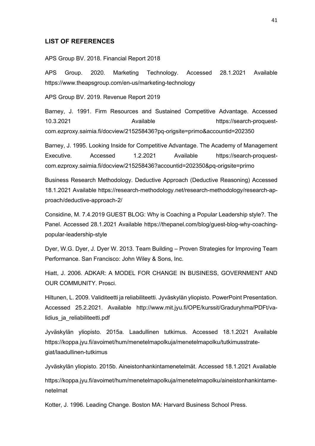#### <span id="page-44-0"></span>**LIST OF REFERENCES**

APS Group BV. 2018. Financial Report 2018

APS Group. 2020. Marketing Technology. Accessed 28.1.2021 Available https://www.theapsgroup.com/en-us/marketing-technology

APS Group BV. 2019. Revenue Report 2019

Barney, J. 1991. Firm Resources and Sustained Competitive Advantage. Accessed 10.3.2021 Available https://search-proquestcom.ezproxy.saimia.fi/docview/215258436?pq-origsite=primo&accountid=202350

Barney, J. 1995. Looking Inside for Competitive Advantage. The Academy of Management Executive. Accessed 1.2.2021 Available https://search-proquestcom.ezproxy.saimia.fi/docview/215258436?accountid=202350&pq-origsite=primo

Business Research Methodology. Deductive Approach (Deductive Reasoning) Accessed 18.1.2021 Available https://research-methodology.net/research-methodology/research-approach/deductive-approach-2/

Considine, M. 7.4.2019 GUEST BLOG: Why is Coaching a Popular Leadership style?. The Panel. Accessed 28.1.2021 Available https://thepanel.com/blog/guest-blog-why-coachingpopular-leadership-style

Dyer, W.G. Dyer, J. Dyer W. 2013. Team Building – Proven Strategies for Improving Team Performance. San Francisco: John Wiley & Sons, Inc.

Hiatt, J. 2006. ADKAR: A MODEL FOR CHANGE IN BUSINESS, GOVERNMENT AND OUR COMMUNITY. Prosci.

Hiltunen, L. 2009. Validiteetti ja reliabiliteetti. Jyväskylän yliopisto. PowerPoint Presentation. Accessed 25.2.2021. Available http://www.mit.jyu.fi/OPE/kurssit/Graduryhma/PDFt/validius ja reliabiliteetti.pdf

Jyväskylän yliopisto. 2015a. Laadullinen tutkimus. Accessed 18.1.2021 Available https://koppa.jyu.fi/avoimet/hum/menetelmapolkuja/menetelmapolku/tutkimusstrategiat/laadullinen-tutkimus

Jyväskylän yliopisto. 2015b. Aineistonhankintamenetelmät. Accessed 18.1.2021 Available

https://koppa.jyu.fi/avoimet/hum/menetelmapolkuja/menetelmapolku/aineistonhankintamenetelmat

Kotter, J. 1996. Leading Change. Boston MA: Harvard Business School Press.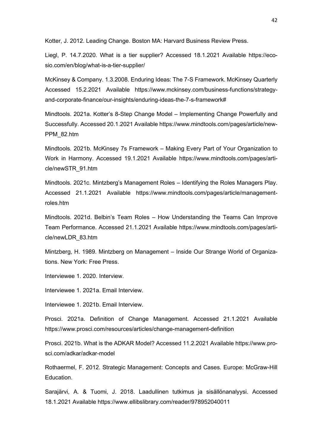Kotter, J. 2012. Leading Change. Boston MA: Harvard Business Review Press.

Liegl, P. 14.7.2020. What is a tier supplier? Accessed 18.1.2021 Available https://ecosio.com/en/blog/what-is-a-tier-supplier/

McKinsey & Company. 1.3.2008. Enduring Ideas: The 7-S Framework. McKinsey Quarterly Accessed 15.2.2021 Available https://www.mckinsey.com/business-functions/strategyand-corporate-finance/our-insights/enduring-ideas-the-7-s-framework#

Mindtools. 2021a. Kotter's 8-Step Change Model – Implementing Change Powerfully and Successfully. Accessed 20.1.2021 Available https://www.mindtools.com/pages/article/new-PPM\_82.htm

Mindtools. 2021b. McKinsey 7s Framework – Making Every Part of Your Organization to Work in Harmony. Accessed 19.1.2021 Available https://www.mindtools.com/pages/article/newSTR\_91.htm

Mindtools. 2021c. Mintzberg's Management Roles – Identifying the Roles Managers Play. Accessed 21.1.2021 Available https://www.mindtools.com/pages/article/managementroles.htm

Mindtools. 2021d. Belbin's Team Roles – How Understanding the Teams Can Improve Team Performance. Accessed 21.1.2021 Available https://www.mindtools.com/pages/article/newLDR\_83.htm

Mintzberg, H. 1989. Mintzberg on Management – Inside Our Strange World of Organizations. New York: Free Press.

Interviewee 1. 2020. Interview.

Interviewee 1. 2021a. Email Interview.

Interviewee 1. 2021b. Email Interview.

Prosci. 2021a. Definition of Change Management. Accessed 21.1.2021 Available https://www.prosci.com/resources/articles/change-management-definition

Prosci. 2021b. What is the ADKAR Model? Accessed 11.2.2021 Available https://www.prosci.com/adkar/adkar-model

Rothaermel, F. 2012. Strategic Management: Concepts and Cases. Europe: McGraw-Hill Education.

Sarajärvi, A. & Tuomi, J. 2018. Laadullinen tutkimus ja sisällönanalyysi. Accessed 18.1.2021 Available https://www.ellibslibrary.com/reader/978952040011